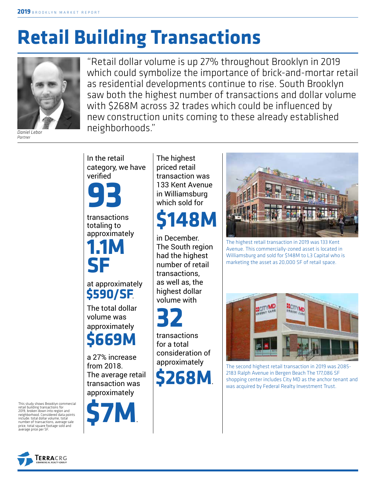# **Retail Building Transactions**



*Daniel Lebor Partner*

"Retail dollar volume is up 27% throughout Brooklyn in 2019 which could symbolize the importance of brick-and-mortar retail as residential developments continue to rise. South Brooklyn saw both the highest number of transactions and dollar volume with \$268M across 32 trades which could be influenced by new construction units coming to these already established neighborhoods."

In the retail category, we have verified

**93**

transactions totaling to approximately

**1.1M SF**

at approximately **\$590/SF**.

The total dollar volume was approximately

**\$669M**

a 27% increase from 2018. The average retail transaction was approximately



The highest priced retail transaction was 133 Kent Avenue in Williamsburg which sold for

## **\$148M**

in December. The South region had the highest number of retail transactions, as well as, the highest dollar volume with

**32**

transactions for a total consideration of approximately

**\$268M**.



The highest retail transaction in 2019 was 133 Kent Avenue. This commercially-zoned asset is located in Williamsburg and sold for \$148M to L3 Capital who is marketing the asset as 20,000 SF of retail space.



The second highest retail transaction in 2019 was 2085- 2183 Ralph Avenue in Bergen Beach The 177,086 SF shopping center includes City MD as the anchor tenant and was acquired by Federal Realty Investment Trust.

This study shows Brooklyn commercial retail building transactions for 2019, broken down into region and neighborhood. Considered data points include: total dollar volume, total number of transactions, average sale price, total square footage sold and average price per SF.

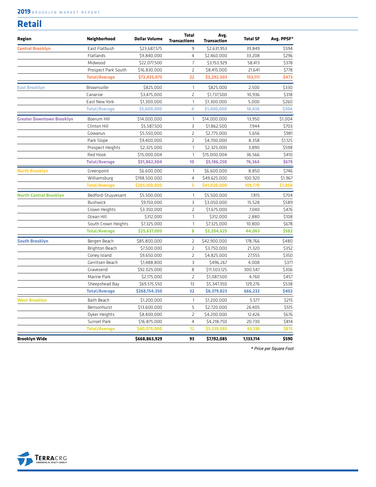#### **2019** BROOKLYN MARKET REPORT

| <b>Retail</b>                    |                      |                      |                                     |                            |                 |            |
|----------------------------------|----------------------|----------------------|-------------------------------------|----------------------------|-----------------|------------|
| Region                           | Neighborhood         | <b>Dollar Volume</b> | <b>Total</b><br><b>Transactions</b> | Avg.<br><b>Transaction</b> | <b>Total SF</b> | Avg. PPSF* |
| <b>Central Brooklyn</b>          | East Flatbush        | \$23,687,575         | 9                                   | \$2,631,953                | 39,849          | \$594      |
|                                  | Flatlands            | \$9,840,000          | 4                                   | \$2,460,000                | 33,208          | \$296      |
|                                  | Midwood              | \$22,077,500         | $\overline{7}$                      | \$3,153,929                | 58,413          | \$378      |
|                                  | Prospect Park South  | \$16,830,000         | $\overline{2}$                      | \$8,415,000                | 21,641          | \$778      |
|                                  | <b>Total/Average</b> | \$72,435,075         | 22                                  | \$3,292,503                | 153,111         | \$473      |
| <b>East Brooklyn</b>             | Brownsville          | \$825,000            | 1                                   | \$825,000                  | 2,500           | \$330      |
|                                  | Canarsie             | \$3,475,000          | $\overline{2}$                      | \$1,737,500                | 10,936          | \$318      |
|                                  | <b>East New York</b> | \$1,300,000          | $\mathbf{1}$                        | \$1,300,000                | 5,000           | \$260      |
|                                  | <b>Total/Average</b> | \$5,600,000          | 4                                   | \$1,400,000                | 18,436          | \$304      |
| <b>Greater Downtown Brooklyn</b> | Boerum Hill          | \$14,000,000         | 1                                   | \$14,000,000               | 13,950          | \$1,004    |
|                                  | Clinton Hill         | \$5,587,500          | 3                                   | \$1,862,500                | 7,944           | \$703      |
|                                  | Gowanus              | \$5,550,000          | 2                                   | \$2,775,000                | 5,656           | \$981      |
|                                  | Park Slope           | \$9,400,000          | $\overline{2}$                      | \$4,700,000                | 8,358           | \$1,125    |
|                                  | Prospect Heights     | \$2,325,000          | $\mathbf{1}$                        | \$2,325,000                | 3,890           | \$598      |
|                                  | Red Hook             | \$15,000,004         | $\mathbf{1}$                        | \$15,000,004               | 36,566          | \$410      |
|                                  | <b>Total/Average</b> | \$51,862,504         | 10                                  | \$5,186,250                | 76,364          | \$679      |
| <b>North Brooklyn</b>            | Greenpoint           | \$6,600,000          | 1                                   | \$6,600,000                | 8,850           | \$746      |
|                                  | Williamsburg         | \$198,500,000        | $\overline{4}$                      | \$49,625,000               | 100.920         | \$1,967    |
|                                  | <b>Total/Average</b> | \$205,100,000        | 5                                   | \$41,020,000               | 109,770         | \$1,868    |
| <b>North-Central Brooklyn</b>    | Bedford-Stuyvesant   | \$5,500,000          | 1                                   | \$5,500,000                | 7,815           | \$704      |
|                                  | <b>Bushwick</b>      | \$9,150,000          | 3                                   | \$3,050,000                | 15,528          | \$589      |
|                                  | Crown Heights        | \$3,350,000          | $\overline{2}$                      | \$1,675,000                | 7,040           | \$476      |
|                                  | Ocean Hill           | \$312,000            | $\mathbf{1}$                        | \$312,000                  | 2,880           | \$108      |
|                                  | South Crown Heights  | \$7,325,000          | $\mathbf{1}$                        | \$7,325,000                | 10,800          | \$678      |
|                                  | <b>Total/Average</b> | \$25,637,000         | 8                                   | \$3,204,625                | 44,063          | \$582      |
| <b>South Brooklyn</b>            | Bergen Beach         | \$85,800,000         | 2                                   | \$42,900,000               | 178,766         | \$480      |
|                                  | Brighton Beach       | \$7,500,000          | $\overline{2}$                      | \$3,750,000                | 21,320          | \$352      |
|                                  | Coney Island         | \$9,650,000          | $\overline{2}$                      | \$4,825,000                | 27,555          | \$350      |
|                                  | Gerritsen Beach      | \$1,488,800          | 3                                   | \$496,267                  | 4,008           | \$371      |
|                                  | Gravesend            | \$92,025,000         | 8                                   | \$11,503,125               | 300,547         | \$306      |
|                                  | Marine Park          | \$2,175,000          | $\overline{2}$                      | \$1,087,500                | 4,760           | \$457      |
|                                  | Sheepshead Bay       | \$69,515,550         | 13                                  | \$5,347,350                | 129,276         | \$538      |
|                                  | <b>Total/Average</b> | \$268,154,350        | 32                                  | \$8,379,823                | 666,232         | \$402      |
| <b>West Brooklyn</b>             | Bath Beach           | \$1,200,000          | 1                                   | \$1,200,000                | 5,577           | \$215      |
|                                  | Bensonhurst          | \$13,600,000         | 5                                   | \$2,720,000                | 26,405          | \$515      |
|                                  | Dyker Heights        | \$8,400,000          | 2                                   | \$4,200,000                | 12,426          | \$676      |
|                                  | Sunset Park          | \$16,875,000         | $\overline{4}$                      | \$4,218,750                | 20,730          | \$814      |
|                                  | <b>Total/Average</b> | \$40,075,000         | 12                                  | \$3,339,583                | 65,138          | \$615      |
| <b>Brooklyn Wide</b>             |                      | \$668,863,929        | 93                                  | \$7,192,085                | 1,133,114       | \$590      |

**\*** *Price per Square Foot*